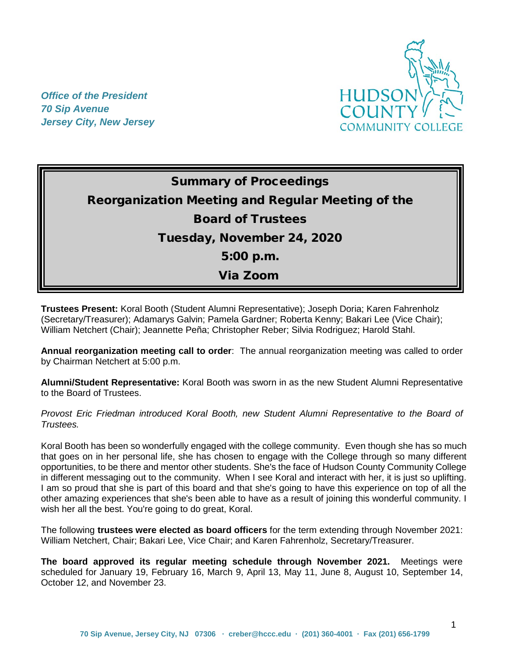*Office of the President 70 Sip Avenue Jersey City, New Jersey*



# Summary of Proceedings Reorganization Meeting and Regular Meeting of the Board of Trustees Tuesday, November 24, 2020 5:00 p.m. Via Zoom

**Trustees Present:** Koral Booth (Student Alumni Representative); Joseph Doria; Karen Fahrenholz (Secretary/Treasurer); Adamarys Galvin; Pamela Gardner; Roberta Kenny; Bakari Lee (Vice Chair); William Netchert (Chair); Jeannette Peña; Christopher Reber; Silvia Rodriguez; Harold Stahl.

**Annual reorganization meeting call to order**: The annual reorganization meeting was called to order by Chairman Netchert at 5:00 p.m.

**Alumni/Student Representative:** Koral Booth was sworn in as the new Student Alumni Representative to the Board of Trustees.

*Provost Eric Friedman introduced Koral Booth, new Student Alumni Representative to the Board of Trustees.* 

Koral Booth has been so wonderfully engaged with the college community. Even though she has so much that goes on in her personal life, she has chosen to engage with the College through so many different opportunities, to be there and mentor other students. She's the face of Hudson County Community College in different messaging out to the community. When I see Koral and interact with her, it is just so uplifting. I am so proud that she is part of this board and that she's going to have this experience on top of all the other amazing experiences that she's been able to have as a result of joining this wonderful community. I wish her all the best. You're going to do great, Koral.

The following **trustees were elected as board officers** for the term extending through November 2021: William Netchert, Chair; Bakari Lee, Vice Chair; and Karen Fahrenholz, Secretary/Treasurer.

**The board approved its regular meeting schedule through November 2021.** Meetings were scheduled for January 19, February 16, March 9, April 13, May 11, June 8, August 10, September 14, October 12, and November 23.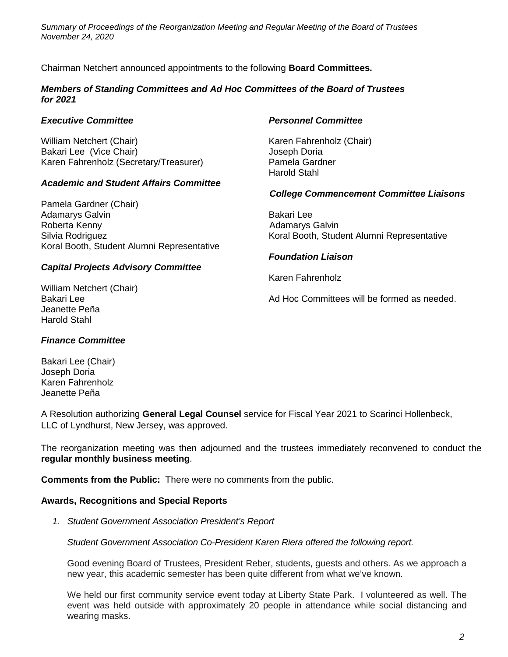Chairman Netchert announced appointments to the following **Board Committees.**

## *Members of Standing Committees and Ad Hoc Committees of the Board of Trustees for 2021*

## *Executive Committee Personnel Committee*

William Netchert (Chair) Karen Fahrenholz (Chair) Bakari Lee (Vice Chair) Sakari Lee (Vice Chair) Sakari Lee (Vice Chair) Karen Fahrenholz (Secretary/Treasurer) Pamela Gardner

# *Academic and Student Affairs Committee*

Pamela Gardner (Chair) Adamarys Galvin **Bakari Lee** Roberta Kenny **Adamarys Galvin Adamarys Galvin** Silvia Rodriguez **Koral Booth, Student Alumni Representative** Koral Booth, Student Alumni Representative Koral Booth, Student Alumni Representative

# *Capital Projects Advisory Committee*

William Netchert (Chair) Jeanette Peña Harold Stahl

Harold Stahl

# *College Commencement Committee Liaisons*

# *Foundation Liaison*

Karen Fahrenholz

Bakari Lee **Bakari Lee Ad Hoc Committees will be formed as needed.** 

### *Finance Committee*

Bakari Lee (Chair) Joseph Doria Karen Fahrenholz Jeanette Peña

A Resolution authorizing **General Legal Counsel** service for Fiscal Year 2021 to Scarinci Hollenbeck, LLC of Lyndhurst, New Jersey, was approved.

The reorganization meeting was then adjourned and the trustees immediately reconvened to conduct the **regular monthly business meeting**.

**Comments from the Public:** There were no comments from the public.

### **Awards, Recognitions and Special Reports**

*1. Student Government Association President's Report* 

*Student Government Association Co-President Karen Riera offered the following report.*

Good evening Board of Trustees, President Reber, students, guests and others. As we approach a new year, this academic semester has been quite different from what we've known.

We held our first community service event today at Liberty State Park. I volunteered as well. The event was held outside with approximately 20 people in attendance while social distancing and wearing masks.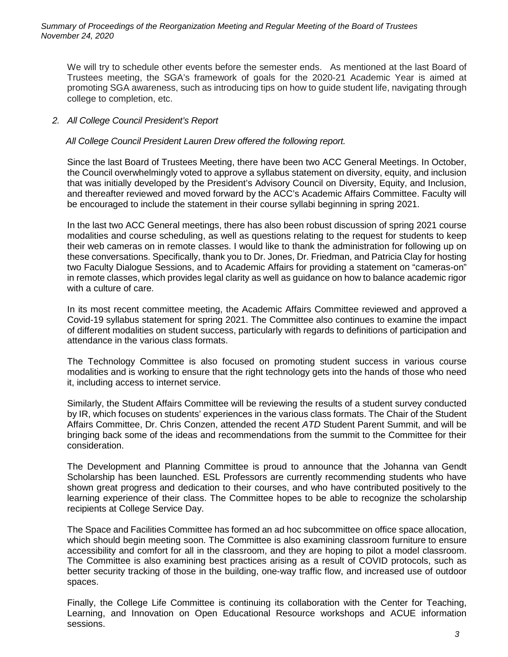We will try to schedule other events before the semester ends. As mentioned at the last Board of Trustees meeting, the SGA's framework of goals for the 2020-21 Academic Year is aimed at promoting SGA awareness, such as introducing tips on how to guide student life, navigating through college to completion, etc.

# *2. All College Council President's Report*

*All College Council President Lauren Drew offered the following report.*

Since the last Board of Trustees Meeting, there have been two ACC General Meetings. In October, the Council overwhelmingly voted to approve a syllabus statement on diversity, equity, and inclusion that was initially developed by the President's Advisory Council on Diversity, Equity, and Inclusion, and thereafter reviewed and moved forward by the ACC's Academic Affairs Committee. Faculty will be encouraged to include the statement in their course syllabi beginning in spring 2021.

In the last two ACC General meetings, there has also been robust discussion of spring 2021 course modalities and course scheduling, as well as questions relating to the request for students to keep their web cameras on in remote classes. I would like to thank the administration for following up on these conversations. Specifically, thank you to Dr. Jones, Dr. Friedman, and Patricia Clay for hosting two Faculty Dialogue Sessions, and to Academic Affairs for providing a statement on "cameras-on" in remote classes, which provides legal clarity as well as guidance on how to balance academic rigor with a culture of care.

In its most recent committee meeting, the Academic Affairs Committee reviewed and approved a Covid-19 syllabus statement for spring 2021. The Committee also continues to examine the impact of different modalities on student success, particularly with regards to definitions of participation and attendance in the various class formats.

The Technology Committee is also focused on promoting student success in various course modalities and is working to ensure that the right technology gets into the hands of those who need it, including access to internet service.

Similarly, the Student Affairs Committee will be reviewing the results of a student survey conducted by IR, which focuses on students' experiences in the various class formats. The Chair of the Student Affairs Committee, Dr. Chris Conzen, attended the recent *ATD* Student Parent Summit, and will be bringing back some of the ideas and recommendations from the summit to the Committee for their consideration.

The Development and Planning Committee is proud to announce that the Johanna van Gendt Scholarship has been launched. ESL Professors are currently recommending students who have shown great progress and dedication to their courses, and who have contributed positively to the learning experience of their class. The Committee hopes to be able to recognize the scholarship recipients at College Service Day.

The Space and Facilities Committee has formed an ad hoc subcommittee on office space allocation, which should begin meeting soon. The Committee is also examining classroom furniture to ensure accessibility and comfort for all in the classroom, and they are hoping to pilot a model classroom. The Committee is also examining best practices arising as a result of COVID protocols, such as better security tracking of those in the building, one-way traffic flow, and increased use of outdoor spaces.

Finally, the College Life Committee is continuing its collaboration with the Center for Teaching, Learning, and Innovation on Open Educational Resource workshops and ACUE information sessions.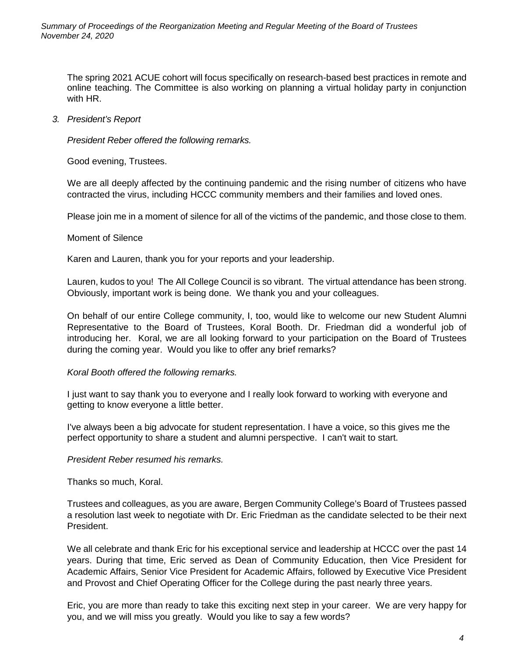The spring 2021 ACUE cohort will focus specifically on research-based best practices in remote and online teaching. The Committee is also working on planning a virtual holiday party in conjunction with HR.

# *3. President's Report*

*President Reber offered the following remarks.*

Good evening, Trustees.

We are all deeply affected by the continuing pandemic and the rising number of citizens who have contracted the virus, including HCCC community members and their families and loved ones.

Please join me in a moment of silence for all of the victims of the pandemic, and those close to them.

# Moment of Silence

Karen and Lauren, thank you for your reports and your leadership.

Lauren, kudos to you! The All College Council is so vibrant. The virtual attendance has been strong. Obviously, important work is being done. We thank you and your colleagues.

On behalf of our entire College community, I, too, would like to welcome our new Student Alumni Representative to the Board of Trustees, Koral Booth. Dr. Friedman did a wonderful job of introducing her. Koral, we are all looking forward to your participation on the Board of Trustees during the coming year. Would you like to offer any brief remarks?

### *Koral Booth offered the following remarks.*

I just want to say thank you to everyone and I really look forward to working with everyone and getting to know everyone a little better.

I've always been a big advocate for student representation. I have a voice, so this gives me the perfect opportunity to share a student and alumni perspective. I can't wait to start.

### *President Reber resumed his remarks.*

Thanks so much, Koral.

Trustees and colleagues, as you are aware, Bergen Community College's Board of Trustees passed a resolution last week to negotiate with Dr. Eric Friedman as the candidate selected to be their next President.

We all celebrate and thank Eric for his exceptional service and leadership at HCCC over the past 14 years. During that time, Eric served as Dean of Community Education, then Vice President for Academic Affairs, Senior Vice President for Academic Affairs, followed by Executive Vice President and Provost and Chief Operating Officer for the College during the past nearly three years.

Eric, you are more than ready to take this exciting next step in your career. We are very happy for you, and we will miss you greatly. Would you like to say a few words?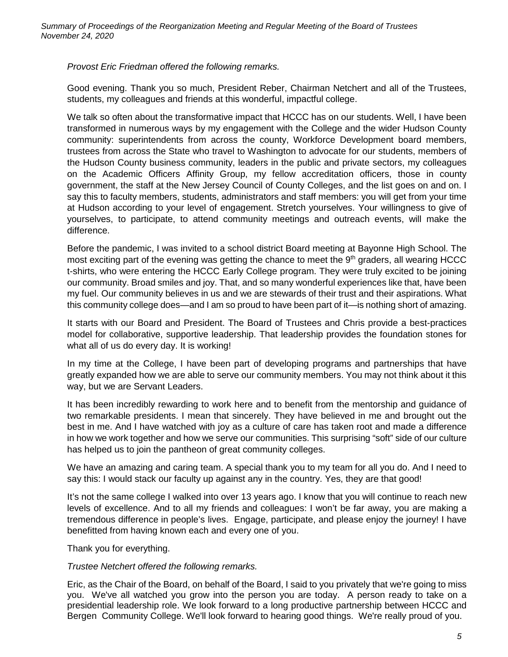*Provost Eric Friedman offered the following remarks.*

Good evening. Thank you so much, President Reber, Chairman Netchert and all of the Trustees, students, my colleagues and friends at this wonderful, impactful college.

We talk so often about the transformative impact that HCCC has on our students. Well, I have been transformed in numerous ways by my engagement with the College and the wider Hudson County community: superintendents from across the county, Workforce Development board members, trustees from across the State who travel to Washington to advocate for our students, members of the Hudson County business community, leaders in the public and private sectors, my colleagues on the Academic Officers Affinity Group, my fellow accreditation officers, those in county government, the staff at the New Jersey Council of County Colleges, and the list goes on and on. I say this to faculty members, students, administrators and staff members: you will get from your time at Hudson according to your level of engagement. Stretch yourselves. Your willingness to give of yourselves, to participate, to attend community meetings and outreach events, will make the difference.

Before the pandemic, I was invited to a school district Board meeting at Bayonne High School. The most exciting part of the evening was getting the chance to meet the 9<sup>th</sup> graders, all wearing HCCC t-shirts, who were entering the HCCC Early College program. They were truly excited to be joining our community. Broad smiles and joy. That, and so many wonderful experiences like that, have been my fuel. Our community believes in us and we are stewards of their trust and their aspirations. What this community college does—and I am so proud to have been part of it—is nothing short of amazing.

It starts with our Board and President. The Board of Trustees and Chris provide a best-practices model for collaborative, supportive leadership. That leadership provides the foundation stones for what all of us do every day. It is working!

In my time at the College, I have been part of developing programs and partnerships that have greatly expanded how we are able to serve our community members. You may not think about it this way, but we are Servant Leaders.

It has been incredibly rewarding to work here and to benefit from the mentorship and guidance of two remarkable presidents. I mean that sincerely. They have believed in me and brought out the best in me. And I have watched with joy as a culture of care has taken root and made a difference in how we work together and how we serve our communities. This surprising "soft" side of our culture has helped us to join the pantheon of great community colleges.

We have an amazing and caring team. A special thank you to my team for all you do. And I need to say this: I would stack our faculty up against any in the country. Yes, they are that good!

It's not the same college I walked into over 13 years ago. I know that you will continue to reach new levels of excellence. And to all my friends and colleagues: I won't be far away, you are making a tremendous difference in people's lives. Engage, participate, and please enjoy the journey! I have benefitted from having known each and every one of you.

Thank you for everything.

# *Trustee Netchert offered the following remarks.*

Eric, as the Chair of the Board, on behalf of the Board, I said to you privately that we're going to miss you. We've all watched you grow into the person you are today. A person ready to take on a presidential leadership role. We look forward to a long productive partnership between HCCC and Bergen Community College. We'll look forward to hearing good things. We're really proud of you.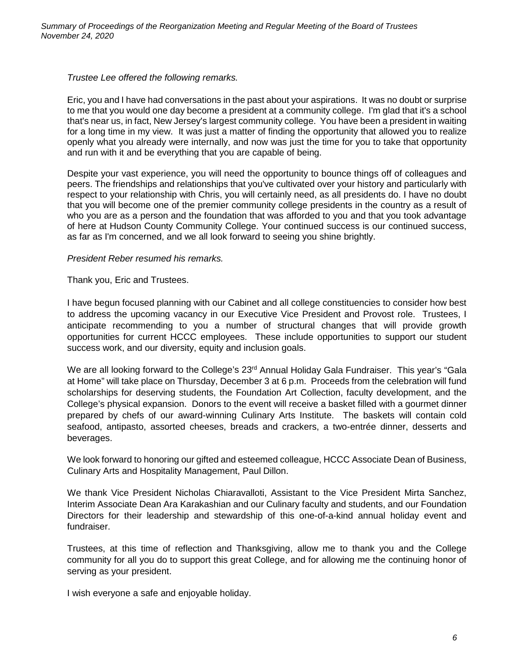*Trustee Lee offered the following remarks.*

Eric, you and I have had conversations in the past about your aspirations. It was no doubt or surprise to me that you would one day become a president at a community college. I'm glad that it's a school that's near us, in fact, New Jersey's largest community college. You have been a president in waiting for a long time in my view. It was just a matter of finding the opportunity that allowed you to realize openly what you already were internally, and now was just the time for you to take that opportunity and run with it and be everything that you are capable of being.

Despite your vast experience, you will need the opportunity to bounce things off of colleagues and peers. The friendships and relationships that you've cultivated over your history and particularly with respect to your relationship with Chris, you will certainly need, as all presidents do. I have no doubt that you will become one of the premier community college presidents in the country as a result of who you are as a person and the foundation that was afforded to you and that you took advantage of here at Hudson County Community College. Your continued success is our continued success, as far as I'm concerned, and we all look forward to seeing you shine brightly.

# *President Reber resumed his remarks.*

Thank you, Eric and Trustees.

I have begun focused planning with our Cabinet and all college constituencies to consider how best to address the upcoming vacancy in our Executive Vice President and Provost role. Trustees, I anticipate recommending to you a number of structural changes that will provide growth opportunities for current HCCC employees. These include opportunities to support our student success work, and our diversity, equity and inclusion goals.

We are all looking forward to the College's 23<sup>rd</sup> Annual Holiday Gala Fundraiser. This year's "Gala at Home" will take place on Thursday, December 3 at 6 p.m. Proceeds from the celebration will fund scholarships for deserving students, the Foundation Art Collection, faculty development, and the College's physical expansion. Donors to the event will receive a basket filled with a gourmet dinner prepared by chefs of our award-winning Culinary Arts Institute. The baskets will contain cold seafood, antipasto, assorted cheeses, breads and crackers, a two-entrée dinner, desserts and beverages.

We look forward to honoring our gifted and esteemed colleague, HCCC Associate Dean of Business, Culinary Arts and Hospitality Management, Paul Dillon.

We thank Vice President Nicholas Chiaravalloti, Assistant to the Vice President Mirta Sanchez, Interim Associate Dean Ara Karakashian and our Culinary faculty and students, and our Foundation Directors for their leadership and stewardship of this one-of-a-kind annual holiday event and fundraiser.

Trustees, at this time of reflection and Thanksgiving, allow me to thank you and the College community for all you do to support this great College, and for allowing me the continuing honor of serving as your president.

I wish everyone a safe and enjoyable holiday.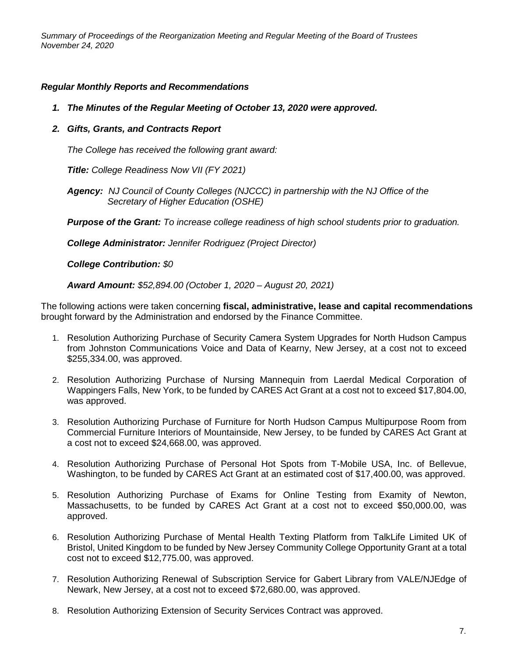# *Regular Monthly Reports and Recommendations*

- *1. The Minutes of the Regular Meeting of October 13, 2020 were approved.*
- *2. Gifts, Grants, and Contracts Report*

*The College has received the following grant award:*

*Title: College Readiness Now VII (FY 2021)*

*Agency: NJ Council of County Colleges (NJCCC) in partnership with the NJ Office of the Secretary of Higher Education (OSHE)*

*Purpose of the Grant: To increase college readiness of high school students prior to graduation.*

*College Administrator: Jennifer Rodriguez (Project Director)*

*College Contribution: \$0*

*Award Amount: \$52,894.00 (October 1, 2020 – August 20, 2021)*

The following actions were taken concerning **fiscal, administrative, lease and capital recommendations** brought forward by the Administration and endorsed by the Finance Committee.

- 1. Resolution Authorizing Purchase of Security Camera System Upgrades for North Hudson Campus from Johnston Communications Voice and Data of Kearny, New Jersey, at a cost not to exceed \$255,334.00, was approved.
- 2. Resolution Authorizing Purchase of Nursing Mannequin from Laerdal Medical Corporation of Wappingers Falls, New York, to be funded by CARES Act Grant at a cost not to exceed \$17,804.00, was approved.
- 3. Resolution Authorizing Purchase of Furniture for North Hudson Campus Multipurpose Room from Commercial Furniture Interiors of Mountainside, New Jersey, to be funded by CARES Act Grant at a cost not to exceed \$24,668.00, was approved.
- 4. Resolution Authorizing Purchase of Personal Hot Spots from T-Mobile USA, Inc. of Bellevue, Washington, to be funded by CARES Act Grant at an estimated cost of \$17,400.00, was approved.
- 5. Resolution Authorizing Purchase of Exams for Online Testing from Examity of Newton, Massachusetts, to be funded by CARES Act Grant at a cost not to exceed \$50,000.00, was approved.
- 6. Resolution Authorizing Purchase of Mental Health Texting Platform from TalkLife Limited UK of Bristol, United Kingdom to be funded by New Jersey Community College Opportunity Grant at a total cost not to exceed \$12,775.00, was approved.
- 7. Resolution Authorizing Renewal of Subscription Service for Gabert Library from VALE/NJEdge of Newark, New Jersey, at a cost not to exceed \$72,680.00, was approved.
- 8. Resolution Authorizing Extension of Security Services Contract was approved.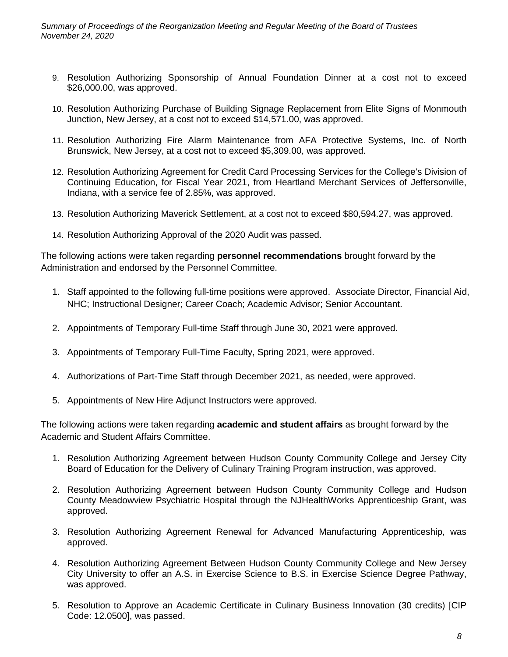- 9. Resolution Authorizing Sponsorship of Annual Foundation Dinner at a cost not to exceed \$26,000.00, was approved.
- 10. Resolution Authorizing Purchase of Building Signage Replacement from Elite Signs of Monmouth Junction, New Jersey, at a cost not to exceed \$14,571.00, was approved.
- 11. Resolution Authorizing Fire Alarm Maintenance from AFA Protective Systems, Inc. of North Brunswick, New Jersey, at a cost not to exceed \$5,309.00, was approved.
- 12. Resolution Authorizing Agreement for Credit Card Processing Services for the College's Division of Continuing Education, for Fiscal Year 2021, from Heartland Merchant Services of Jeffersonville, Indiana, with a service fee of 2.85%, was approved.
- 13. Resolution Authorizing Maverick Settlement, at a cost not to exceed \$80,594.27, was approved.
- 14. Resolution Authorizing Approval of the 2020 Audit was passed.

The following actions were taken regarding **personnel recommendations** brought forward by the Administration and endorsed by the Personnel Committee.

- 1. Staff appointed to the following full-time positions were approved. Associate Director, Financial Aid, NHC; Instructional Designer; Career Coach; Academic Advisor; Senior Accountant.
- 2. Appointments of Temporary Full-time Staff through June 30, 2021 were approved.
- 3. Appointments of Temporary Full-Time Faculty, Spring 2021, were approved.
- 4. Authorizations of Part-Time Staff through December 2021, as needed, were approved.
- 5. Appointments of New Hire Adjunct Instructors were approved.

The following actions were taken regarding **academic and student affairs** as brought forward by the Academic and Student Affairs Committee.

- 1. Resolution Authorizing Agreement between Hudson County Community College and Jersey City Board of Education for the Delivery of Culinary Training Program instruction, was approved.
- 2. Resolution Authorizing Agreement between Hudson County Community College and Hudson County Meadowview Psychiatric Hospital through the NJHealthWorks Apprenticeship Grant, was approved.
- 3. Resolution Authorizing Agreement Renewal for Advanced Manufacturing Apprenticeship, was approved.
- 4. Resolution Authorizing Agreement Between Hudson County Community College and New Jersey City University to offer an A.S. in Exercise Science to B.S. in Exercise Science Degree Pathway, was approved.
- 5. Resolution to Approve an Academic Certificate in Culinary Business Innovation (30 credits) [CIP Code: 12.0500], was passed.